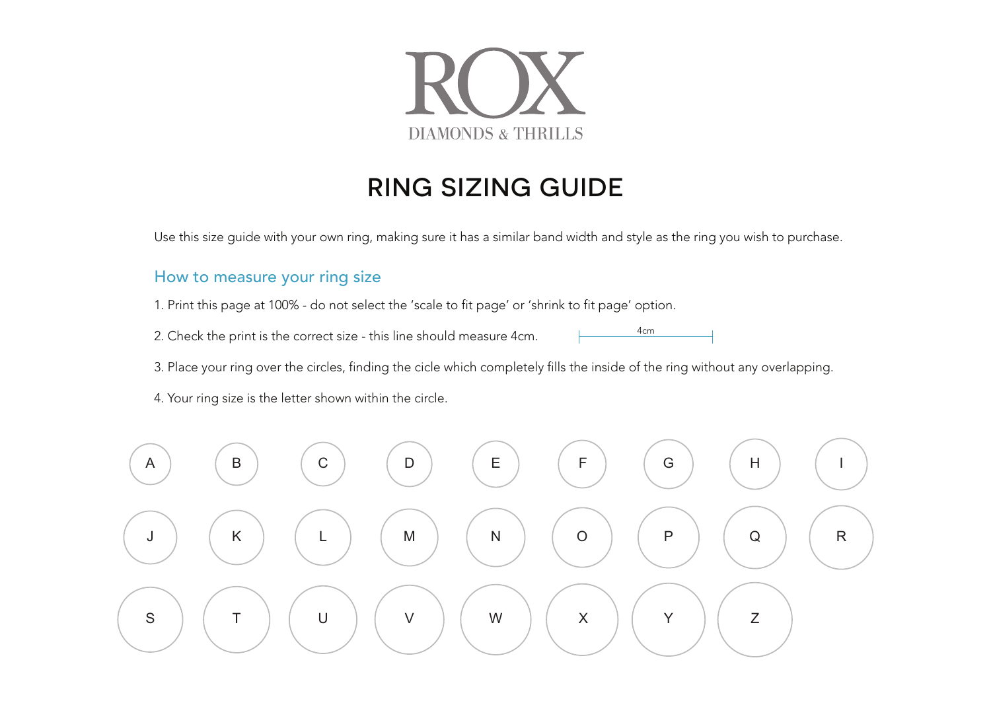

## RING SIZING GUIDE

Use this size guide with your own ring, making sure it has a similar band width and style as the ring you wish to purchase.

## How to measure your ring size

- 1. Print this page at 100% do not select the 'scale to fit page' or 'shrink to fit page' option.
- 2. Check the print is the correct size this line should measure 4cm.
- 3. Place your ring over the circles, finding the cicle which completely fills the inside of the ring without any overlapping.

4cm

4. Your ring size is the letter shown within the circle.